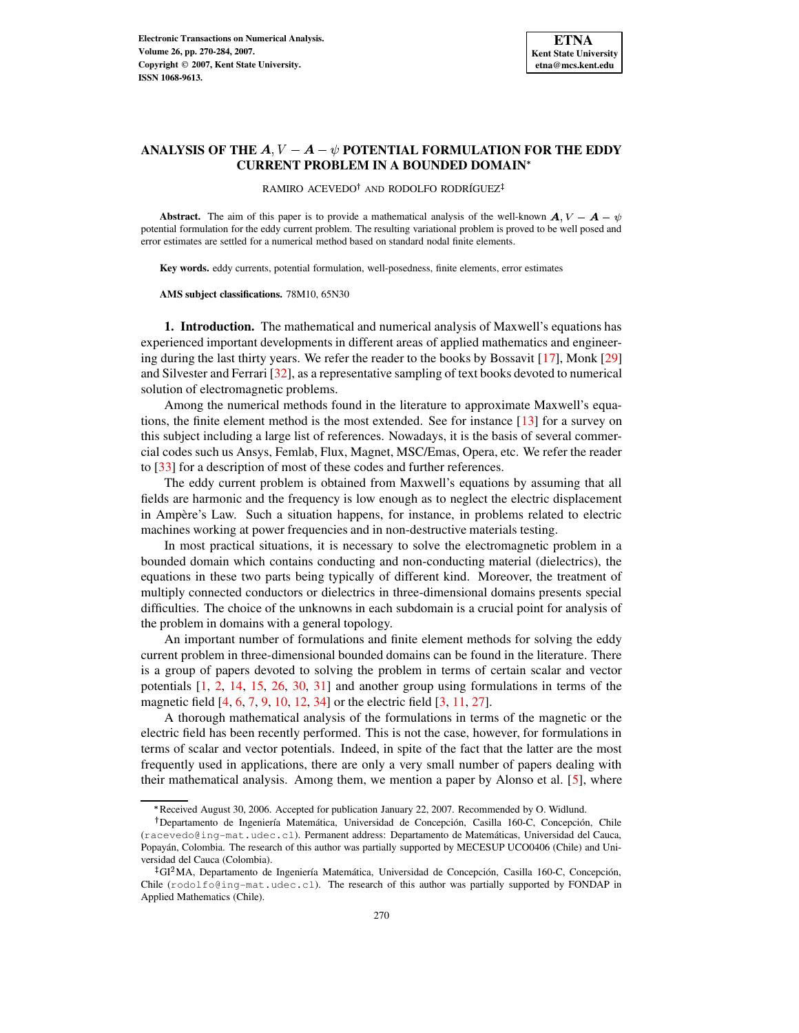# **ANALYSIS OF THE**  $A, V - A - \psi$  **POTENTIAL FORMULATION FOR THE EDDY CURRENT PROBLEM IN A BOUNDED DOMAIN**

RAMIRO ACEVEDO<sup>†</sup> AND RODOLFO RODRÍGUEZ<sup>‡</sup>

**Abstract.** The aim of this paper is to provide a mathematical analysis of the well-known  $A, V - A - \psi$ potential formulation for the eddy current problem. The resulting variational problem is proved to be well posed and error estimates are settled for a numerical method based on standard nodal finite elements.

**Key words.** eddy currents, potential formulation, well-posedness, finite elements, error estimates

**AMS subject classifications.** 78M10, 65N30

**1. Introduction.** The mathematical and numerical analysis of Maxwell's equations has experienced important developments in different areas of applied mathematics and engineering during the last thirty years. We refer the reader to the books by Bossavit [\[17\]](#page-14-0), Monk [\[29\]](#page-14-1) and Silvester and Ferrari [\[32\]](#page-14-2), as a representative sampling of text books devoted to numerical solution of electromagnetic problems.

Among the numerical methods found in the literature to approximate Maxwell's equations, the finite element method is the most extended. See for instance [\[13\]](#page-14-3) for a survey on this subject including a large list of references. Nowadays, it is the basis of several commercial codes such us Ansys, Femlab, Flux, Magnet, MSC/Emas, Opera, etc. We refer the reader to [\[33\]](#page-14-4) for a description of most of these codes and further references.

The eddy current problem is obtained from Maxwell's equations by assuming that all fields are harmonic and the frequency is low enough as to neglect the electric displacement in Ampère's Law. Such a situation happens, for instance, in problems related to electric machines working at power frequencies and in non-destructive materials testing.

In most practical situations, it is necessary to solve the electromagnetic problem in a bounded domain which contains conducting and non-conducting material (dielectrics), the equations in these two parts being typically of different kind. Moreover, the treatment of multiply connected conductors or dielectrics in three-dimensional domains presents special difficulties. The choice of the unknowns in each subdomain is a crucial point for analysis of the problem in domains with a general topology.

An important number of formulations and finite element methods for solving the eddy current problem in three-dimensional bounded domains can be found in the literature. There is a group of papers devoted to solving the problem in terms of certain scalar and vector potentials [\[1,](#page-13-0) [2,](#page-13-1) [14,](#page-14-5) [15,](#page-14-6) [26,](#page-14-7) [30,](#page-14-8) [31\]](#page-14-9) and another group using formulations in terms of the magnetic field [\[4,](#page-13-2) [6,](#page-14-10) [7,](#page-14-11) [9,](#page-14-12) [10,](#page-14-13) [12,](#page-14-14) [34\]](#page-14-15) or the electric field [\[3,](#page-13-3) [11,](#page-14-16) [27\]](#page-14-17).

A thorough mathematical analysis of the formulations in terms of the magnetic or the electric field has been recently performed. This is not the case, however, for formulations in terms of scalar and vector potentials. Indeed, in spite of the fact that the latter are the most frequently used in applications, there are only a very small number of papers dealing with their mathematical analysis. Among them, we mention a paper by Alonso et al. [\[5\]](#page-14-18), where

<sup>\*</sup> Received August 30, 2006. Accepted for publication January 22, 2007. Recommended by O. Widlund.

<sup>&</sup>lt;sup>†</sup>Departamento de Ingeniería Matemática, Universidad de Concepción, Casilla 160-C, Concepción, Chile (racevedo@ing-mat.udec.cl). Permanent address: Departamento de Matemáticas, Universidad del Cauca, Popayán, Colombia. The research of this author was partially supported by MECESUP UCO0406 (Chile) and Universidad del Cauca (Colombia).

 $^{4}$ GI<sup>2</sup>MA, Departamento de Ingeniería Matemática, Universidad de Concepción, Casilla 160-C, Concepción, Chile  $(rodofofing-mat.udec.c1)$ . The research of this author was partially supported by FONDAP in Applied Mathematics (Chile).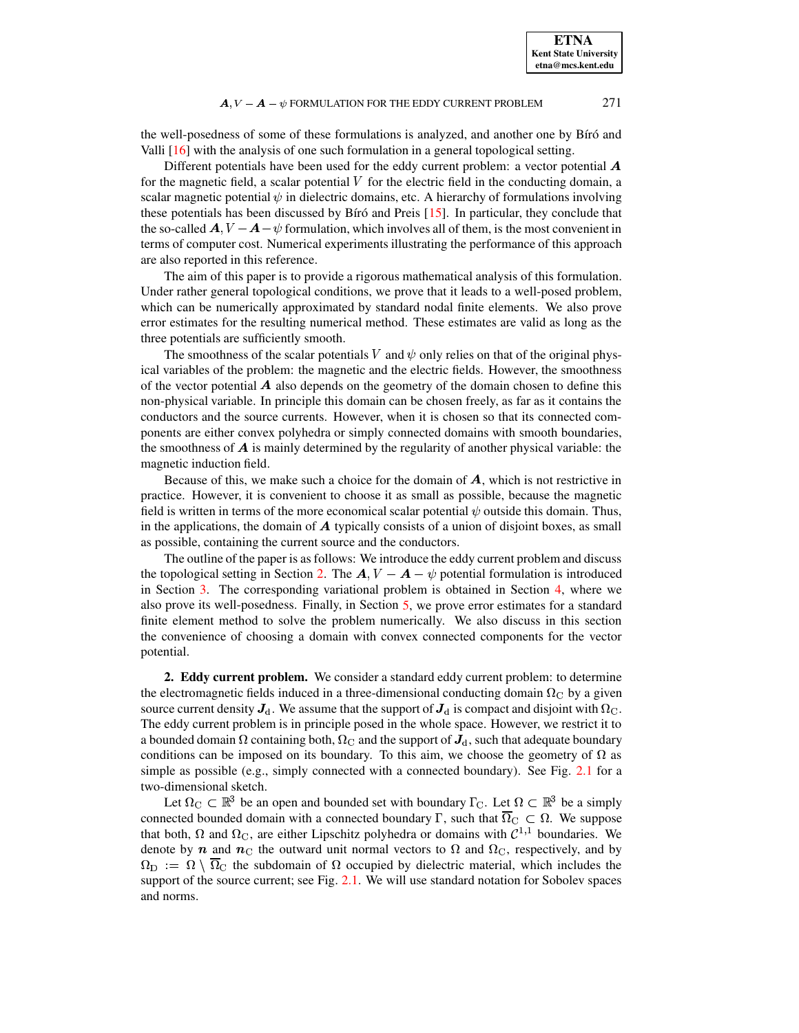### $\mathbf{A}$ ,  $V - \mathbf{A} - \psi$  formulation for the EDDY CURRENT PROBLEM 271

the well-posedness of some of these formulations is analyzed, and another one by Bíró and Valli [\[16\]](#page-14-19) with the analysis of one such formulation in a general topological setting.

Different potentials have been used for the eddy current problem: a vector potential  $\boldsymbol{A}$ for the magnetic field, a scalar potential  $V$  for the electric field in the conducting domain, a scalar magnetic potential  $\psi$  in dielectric domains, etc. A hierarchy of formulations involving these potentials has been discussed by Bíró and Preis  $[15]$ . In particular, they conclude that the so-called  $\mathbf{A}, V - \mathbf{A} - \psi$  formulation, which involves all of them, is the most convenient in terms of computer cost. Numerical experiments illustrating the performance of this approach are also reported in this reference.

The aim of this paper is to provide a rigorous mathematical analysis of this formulation. Under rather general topological conditions, we prove that it leads to a well-posed problem, which can be numerically approximated by standard nodal finite elements. We also prove error estimates for the resulting numerical method. These estimates are valid as long as the three potentials are sufficiently smooth.

The smoothness of the scalar potentials V and  $\psi$  only relies on that of the original physical variables of the problem: the magnetic and the electric fields. However, the smoothness of the vector potential  $\boldsymbol{A}$  also depends on the geometry of the domain chosen to define this non-physical variable. In principle this domain can be chosen freely, as far as it contains the conductors and the source currents. However, when it is chosen so that its connected components are either convex polyhedra or simply connected domains with smooth boundaries, the smoothness of  $\vec{A}$  is mainly determined by the regularity of another physical variable: the magnetic induction field.

Because of this, we make such a choice for the domain of  $A$ , which is not restrictive in practice. However, it is convenient to choose it as small as possible, because the magnetic field is written in terms of the more economical scalar potential  $\psi$  outside this domain. Thus, in the applications, the domain of  $A$  typically consists of a union of disjoint boxes, as small as possible, containing the current source and the conductors.

The outline of the paper is as follows: We introduce the eddy current problem and discuss the topological setting in Section [2.](#page-1-0) The  $\mathbf{A}$ ,  $V - \mathbf{A} - \psi$  potential formulation is introduced in Section [3.](#page-3-0) The corresponding variational problem is obtained in Section [4,](#page-6-0) where we also prove its well-posedness. Finally, in Section [5,](#page-11-0) we prove error estimates for a standard finite element method to solve the problem numerically. We also discuss in this section the convenience of choosing a domain with convex connected components for the vector potential.

<span id="page-1-0"></span>**2. Eddy current problem.** We consider a standard eddy current problem: to determine the electromagnetic fields induced in a three-dimensional conducting domain  $\Omega_{\rm C}$  by a given source current density  $J_d$ . We assume that the support of  $J_d$  is compact and disjoint with  $\Omega_c$ . The eddy current problem is in principle posed in the whole space. However, we restrict it to a bounded domain  $\Omega$  containing both,  $\Omega_{\rm C}$  and the support of  $J_{\rm d}$ , such that adequate boundary conditions can be imposed on its boundary. To this aim, we choose the geometry of  $\Omega$  as simple as possible (e.g., simply connected with a connected boundary). See Fig. [2.1](#page-2-0) for a two-dimensional sketch.

Let  $\Omega_{\rm C} \subset \mathbb{R}^3$  be an open and bounded set with boundary  $\Gamma_{\rm C}$ . Let  $\Omega \subset \mathbb{R}^3$  be a simply connected bounded domain with a connected boundary  $\Gamma$ , such that  $\overline{\Omega}_C \subset \Omega$ . We suppose that both,  $\Omega$  and  $\Omega_{\rm C}$ , are either Lipschitz polyhedra or domains with  $\mathcal{C}^{1,1}$  boundaries. We denote by  $\bf{n}$  and  $\bf{n}$ <sub>C</sub> the outward unit normal vectors to  $\Omega$  and  $\Omega$ <sub>C</sub>, respectively, and by  $\Omega_{\text{D}} := \Omega \setminus \overline{\Omega}_{\text{C}}$  the subdomain of  $\Omega$  occupied by dielectric material, which includes the support of the source current; see Fig. [2.1.](#page-2-0) We will use standard notation for Sobolev spaces and norms.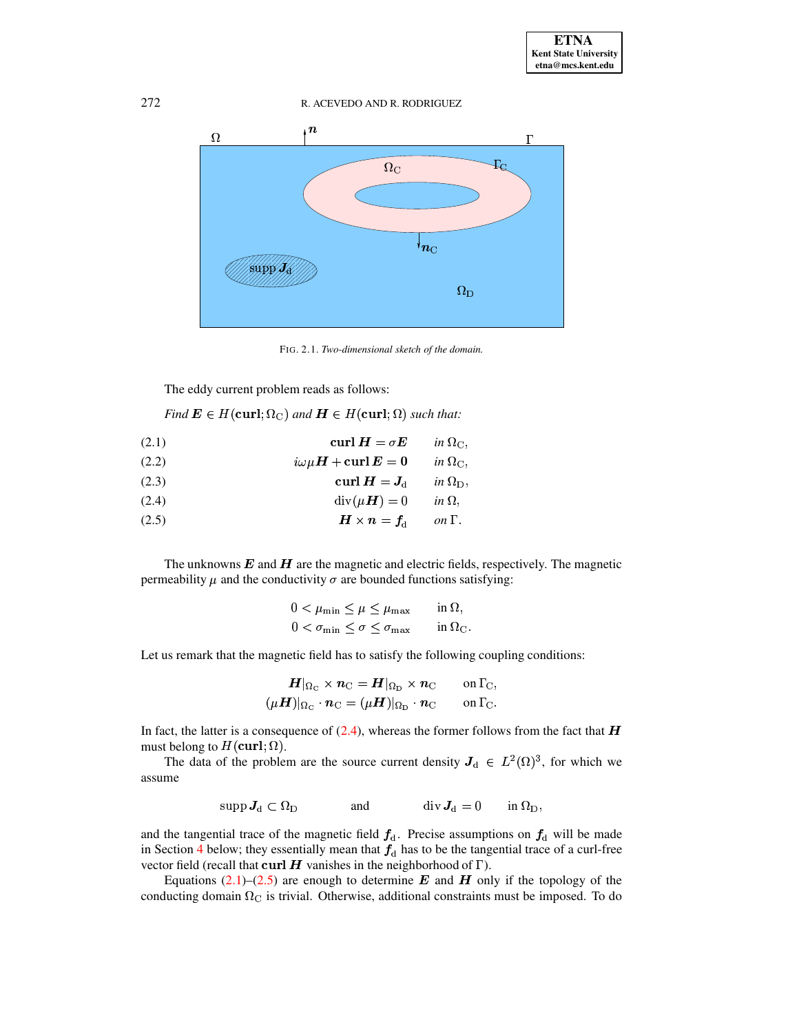272 R. ACEVEDO AND R. RODRIGUEZ



<span id="page-2-0"></span>FIG. 2.1. *Two-dimensional sketch of the domain.*

The eddy current problem reads as follows:

*Find*  $\mathbf{E} \in H(\text{curl};\Omega_{\text{C}})$  *and*  $\mathbf{H} \in H(\text{curl};\Omega)$  *such that:* 

<span id="page-2-2"></span>(2.1) 
$$
\operatorname{curl} \boldsymbol{H} = \sigma \boldsymbol{E} \qquad \text{in } \Omega_{\mathcal{C}},
$$

$$
\mathrm{i}\omega\mu\boldsymbol{H} + \operatorname{curl} \boldsymbol{E} = 0 \qquad \text{in } \Omega_{\mathcal{C}},
$$

$$
(2.2) \t\t\t i\omega\mu H + \mathbf{curl}\,\mathbf{E} = \mathbf{0} \t\t in \Omega_{\mathrm{C}}
$$

<span id="page-2-4"></span>(2.3)  
\n
$$
\operatorname{curl} \mathbf{H} = \mathbf{J}_{\mathrm{d}} \quad \text{in } \Omega_{\mathrm{D}},
$$
\n(2.4)  
\n
$$
\operatorname{div}(\mu \mathbf{H}) = 0 \quad \text{in } \Omega,
$$
\n(2.5)  
\n
$$
\mathbf{H} \times \mathbf{n} = \mathbf{f}, \quad \text{on } \Gamma
$$

<span id="page-2-1"></span>
$$
\text{(2.4)} \quad \text{div}(\mu \mathbf{H}) = 0 \quad \text{in } \Omega,
$$

<span id="page-2-3"></span>(2.5) `az{>gCG|\* *on* 5~}

The unknowns  $\boldsymbol{E}$  and  $\boldsymbol{H}$  are the magnetic and electric fields, respectively. The magnetic The unknowns **E** and **H** are the magnetic and electric neids, respective permeability  $\mu$  and the conductivity  $\sigma$  are bounded functions satisfying:

$$
0 < \mu_{\min} \le \mu \le \mu_{\max} \quad \text{in } \Omega,
$$
\n
$$
0 < \sigma_{\min} \le \sigma \le \sigma_{\max} \quad \text{in } \Omega_{\mathcal{C}}.
$$

Let us remark that the magnetic field has to satisfy the following coupling conditions:

$$
\begin{aligned} \boldsymbol{H}|_{\Omega_{\rm C}} \times \boldsymbol{n}_{\rm C} &= \boldsymbol{H}|_{\Omega_{\rm D}} \times \boldsymbol{n}_{\rm C} &\qquad \text{on } \Gamma_{\rm C}, \\ (\mu \boldsymbol{H})|_{\Omega_{\rm C}} \cdot \boldsymbol{n}_{\rm C} &= (\mu \boldsymbol{H})|_{\Omega_{\rm D}} \cdot \boldsymbol{n}_{\rm C} &\qquad \text{on } \Gamma_{\rm C}. \end{aligned}
$$

In fact, the latter is a consequence of  $(2.4)$ , whereas the former follows from the fact that  $\boldsymbol{H}$ must belong to  $H(\text{curl};\Omega)$ .

The data of the problem are the source current density  $J_d \in L^2(\Omega)^3$ , for which we assume

$$
\operatorname{supp} \boldsymbol{J}_{\mathrm{d}} \subset \Omega_{\mathrm{D}} \qquad \qquad \text{and} \qquad \qquad \operatorname{div} \boldsymbol{J}_{\mathrm{d}} = 0 \qquad \text{in } \Omega_{\mathrm{D}},
$$

and the tangential trace of the magnetic field  $f_d$ . Precise assumptions on  $f_d$  will be made in Section [4](#page-6-0) below; they essentially mean that  $f_d$  has to be the tangential trace of a curl-free vector field (recall that curl H vanishes in the neighborhood of  $\Gamma$ ).

Equations [\(2.1\)](#page-2-2)–[\(2.5\)](#page-2-3) are enough to determine  $\bf{E}$  and  $\bf{H}$  only if the topology of the conducting domain  $\Omega_{\rm C}$  is trivial. Otherwise, additional constraints must be imposed. To do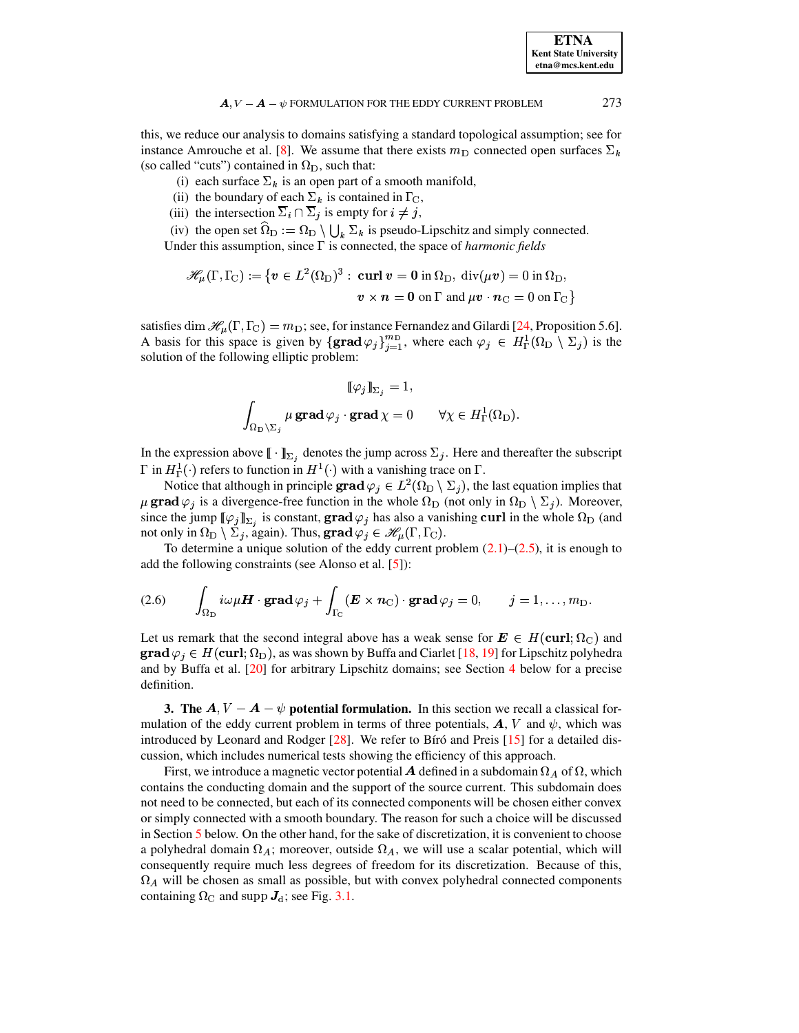**ETNA Kent State University etna@mcs.kent.edu**

### $\mathbf{A}$ ,  $V - \mathbf{A} - \psi$  formulation for the EDDY CURRENT PROBLEM 273

this, we reduce our analysis to domains satisfying a standard topological assumption; see for instance Amrouche et al. [\[8\]](#page-14-20). We assume that there exists  $m<sub>D</sub>$  connected open surfaces  $\Sigma<sub>k</sub>$ (so called "cuts") contained in  $\Omega_D$ , such that:

- (i) each surface  $\Sigma_k$  is an open part of a smooth manifold,
- (ii) the boundary of each  $\Sigma_k$  is contained in  $\Gamma_{\rm C}$ ,
- (iii) the intersection  $\overline{\Sigma}_i \cap \overline{\Sigma}_j$  is empty for  $i \neq j$ ,

(iv) the open set  $\Omega_{\text{D}} := \Omega_{\text{D}} \setminus \bigcup_{k} \Sigma_k$  is pseudo-Lipschitz and simply connected. Under this assumption, since  $\Gamma$  is connected, the space of *harmonic fields* 

$$
\mathscr{H}_{\mu}(\Gamma,\Gamma_{\rm C}) := \left\{ \boldsymbol{v} \in L^2(\Omega_{\rm D})^3 : \ \boldsymbol{\mathrm{curl}} \, \boldsymbol{v} = \boldsymbol{0} \text{ in } \Omega_{\rm D}, \ \mathrm{div}(\mu \boldsymbol{v}) = 0 \text{ in } \Omega_{\rm D}, \right.
$$

$$
\boldsymbol{v} \times \boldsymbol{n} = \boldsymbol{0} \text{ on } \Gamma \text{ and } \mu \boldsymbol{v} \cdot \boldsymbol{n}_{\rm C} = 0 \text{ on } \Gamma_{\rm C} \right\}
$$

satisfies dim  $\mathcal{H}_{\mu}(\Gamma, \Gamma_{\rm C}) = m_{\rm D}$ ; see, for instance Fernandez and Gilardi [\[24,](#page-14-21) Proposition 5.6]. A basis for this space is given by  $\{\text{grad}\varphi_j\}_{j=1}^{m_D}$ , where each  $\varphi_j \in H^1_{\Gamma}(\Omega_D \setminus \Sigma_j)$  is the solution of the following elliptic problem:

$$
\llbracket \varphi_j \rrbracket_{\Sigma_j} = 1,
$$
  

$$
\int_{\Omega_D \setminus \Sigma_j} \mu \operatorname{grad} \varphi_j \cdot \operatorname{grad} \chi = 0 \qquad \forall \chi \in H^1_\Gamma(\Omega_D).
$$

In the expression above  $[\![ \cdot ]\!]_{\Sigma_i}$  denotes the jump across  $\Sigma_j$ . Here and thereafter the subscript  $\Gamma$  in  $H^1_\Gamma(\cdot)$  refers to function in  $H^1(\cdot)$  with a vanishing trace on  $\Gamma$ .

Notice that although in principle  $\mathbf{grad}\varphi_j\in L^2(\Omega_D\setminus\Sigma_j)$ , the last equation implies that  $\mu$  grad  $\varphi_j$  is a divergence-free function in the whole  $\Omega_D$  (not only in  $\Omega_D \setminus \Sigma_j$ ). Moreover, since the jump  $[\![\varphi_j]\!]_{\Sigma_i}$  is constant,  $\mathbf{grad}\varphi_j$  has also a vanishing curl in the whole  $\Omega_D$  (and not only in  $\Omega_{\rm D}\setminus\Sigma_j$ , again). Thus,  ${\bf grad}\,\varphi_j\in\mathscr{H}_\mu(\Gamma,\Gamma_{\!\scriptscriptstyle{\rm C}})$ .

<span id="page-3-1"></span>To determine a unique solution of the eddy current problem  $(2.1)$ – $(2.5)$ , it is enough to add the following constraints (see Alonso et al. [\[5\]](#page-14-18)):

(2.6) 
$$
\int_{\Omega_{\rm D}} i\omega \mu \mathbf{H} \cdot \mathbf{grad} \varphi_j + \int_{\Gamma_{\rm C}} (\mathbf{E} \times \mathbf{n}_{\rm C}) \cdot \mathbf{grad} \varphi_j = 0, \qquad j = 1, \ldots, m_{\rm D}.
$$

Let us remark that the second integral above has a weak sense for  $E \in H(\text{curl}; \Omega_{\text{C}})$  and **grad**  $\varphi_i \in H(\text{curl}; \Omega_D)$ , as was shown by Buffa and Ciarlet [\[18,](#page-14-22) [19\]](#page-14-23) for Lipschitz polyhedra and by Buffa et al. [\[20\]](#page-14-24) for arbitrary Lipschitz domains; see Section [4](#page-6-0) below for a precise definition.

<span id="page-3-0"></span>**3.** The  $A, V - A - \psi$  potential formulation. In this section we recall a classical formulation of the eddy current problem in terms of three potentials,  $\boldsymbol{A}$ ,  $V$  and  $\psi$ , which was introduced by Leonard and Rodger  $[28]$ . We refer to Bíró and Preis  $[15]$  for a detailed discussion, which includes numerical tests showing the efficiency of this approach.

First, we introduce a magnetic vector potential  $\bm A$  defined in a subdomain  $\Omega_A$  of  $\Omega,$  which contains the conducting domain and the support of the source current. This subdomain does not need to be connected, but each of its connected components will be chosen either convex or simply connected with a smooth boundary. The reason for such a choice will be discussed in Section [5](#page-11-0) below. On the other hand, for the sake of discretization, it is convenient to choose a polyhedral domain  $\Omega_A$ ; moreover, outside  $\Omega_A$ , we will use a scalar potential, which will consequently require much less degrees of freedom for its discretization. Because of this,  $\Omega_A$  will be chosen as small as possible, but with convex polyhedral connected components containing  $\Omega_{\rm C}$  and supp  $J_{\rm d}$ ; see Fig. [3.1.](#page-4-0)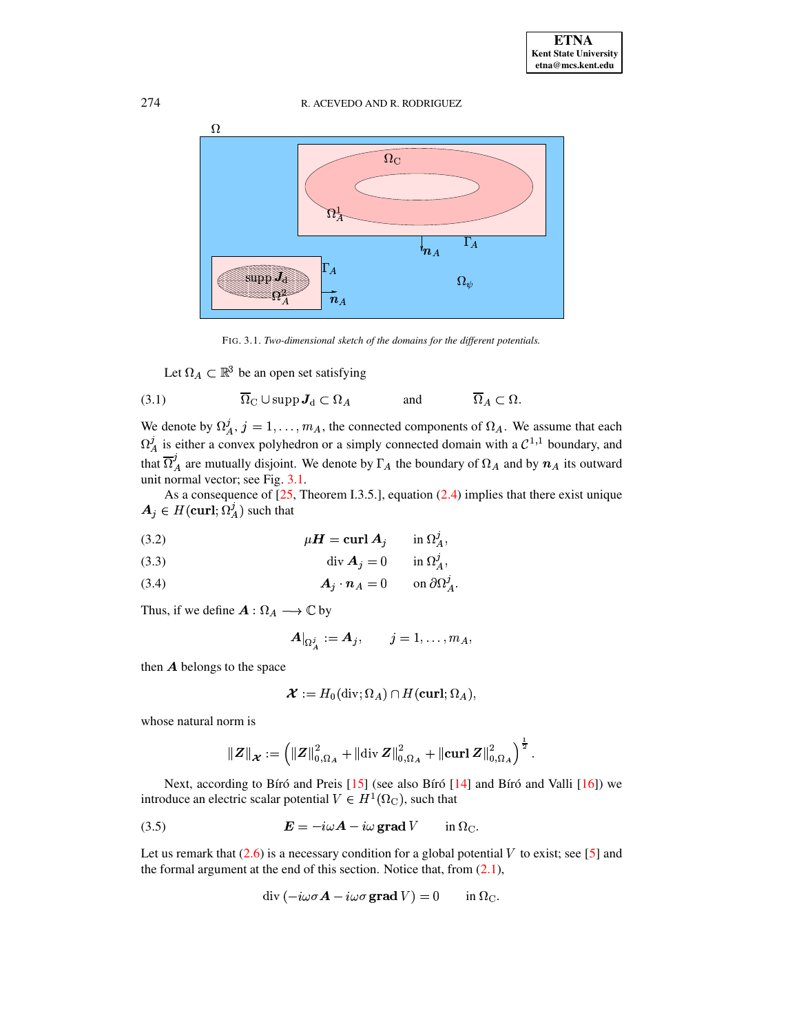274 R. ACEVEDO AND R. RODRIGUEZ



<span id="page-4-2"></span>FIG. 3.1. *Two-dimensional sketch of the domains for the different potentials.*

<span id="page-4-0"></span>Let  $\Omega_A \subset \mathbb{R}^3$  be an open set satisfying

(3.1) 
$$
\overline{\Omega}_{\mathcal{C}} \cup \operatorname{supp} \mathbf{J}_{\mathcal{d}} \subset \Omega_A \quad \text{and} \quad \overline{\Omega}_A \subset \Omega.
$$

We denote by  $\Omega_A^j$ ,  $j = 1, ..., m_A$ , the connected components of  $\Omega_A$ . We assume that each  $\Omega_A^j$  is either a convex polyhedron or a simply connected domain with a  $\mathcal{C}^{1,1}$  boundary, and that  $\overline{\Omega}_A^{\prime}$  are mutually disjoint. We denote by  $\Gamma_A$  the boundary of  $\Omega_A$  and by  $n_A$  its outward unit normal vector; see Fig. [3.1.](#page-4-0)

As a consequence of  $[25,$  Theorem I.3.5.], equation  $(2.4)$  implies that there exist unique  $A_j \in H(\mathbf{curl};\Omega_A^j)$  such that

<span id="page-4-3"></span>(3.2) 
$$
\mu \mathbf{H} = \mathbf{curl} \mathbf{A}_j \qquad \text{in } \Omega^j_A,
$$

$$
\operatorname{div} \mathbf{A}_j = 0 \qquad \text{in } \Omega^j_A,
$$

<span id="page-4-4"></span>
$$
A_j \cdot n_A = 0 \qquad \text{on } \partial \Omega^j_A.
$$

Thus, if we define  $A: \Omega_A \longrightarrow \mathbb{C}$  by

$$
\boldsymbol{A}|_{\Omega^j_{\boldsymbol{A}}}:=\boldsymbol{A}_j,\qquad j=1,\ldots,m_A,
$$

then  $\boldsymbol{A}$  belongs to the space

$$
\boldsymbol{\mathcal{X}} := H_0(\operatorname{div};\Omega_A) \cap H(\operatorname{{\bf curl}};\Omega_A),
$$

whose natural norm is

$$
\left\| \boldsymbol{Z} \right\|_{\boldsymbol{\mathcal{X}}} := \left( \left\| \boldsymbol{Z} \right\|_{0,\Omega_A}^2 + \left\| \operatorname{div} \boldsymbol{Z} \right\|_{0,\Omega_A}^2 + \left\| \operatorname{curl} \boldsymbol{Z} \right\|_{0,\Omega_A}^2 \right)^{\frac{1}{2}}.
$$

Next, according to Bíró and Preis  $[15]$  (see also Bíró  $[14]$  and Bíró and Valli  $[16]$ ) we introduce an electric scalar potential  $V \in H^1(\Omega_{\rm C})$ , such that

(3.5) 
$$
\boldsymbol{E} = -i\omega \boldsymbol{A} - i\omega \operatorname{grad} V \qquad \text{in } \Omega_{\mathcal{C}}.
$$

Let us remark that  $(2.6)$  is a necessary condition for a global potential V to exist; see [\[5\]](#page-14-18) and the formal argument at the end of this section. Notice that, from  $(2.1)$ ,

<span id="page-4-1"></span>
$$
\operatorname{div} \left( -i\omega \sigma \mathbf{A} - i\omega \sigma \mathbf{grad} V \right) = 0 \quad \text{in } \Omega_{\mathcal{C}}.
$$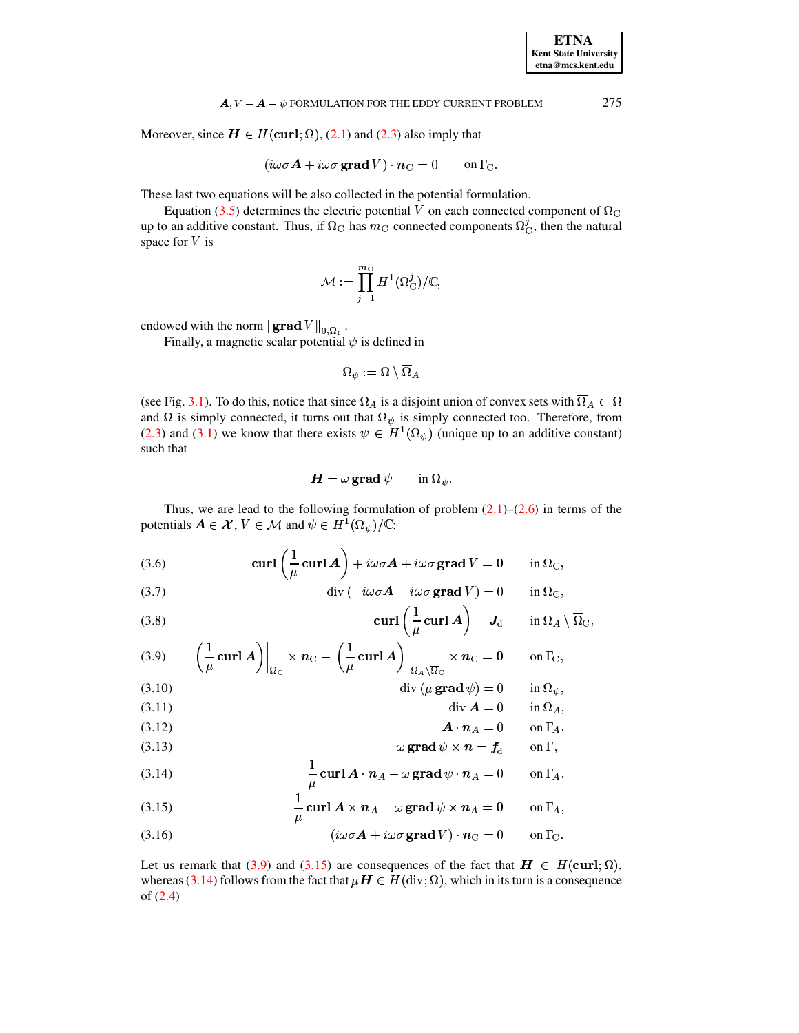Moreover, since  $H \in H(\text{curl}; \Omega)$ , (2.1) and (2.3) also imply that

$$
(i\omega\sigma A + i\omega\sigma \mathbf{grad} V) \cdot \mathbf{n}_{\mathcal{C}} = 0 \quad \text{on } \Gamma_{\mathcal{C}}.
$$

These last two equations will be also collected in the potential formulation.

Equation (3.5) determines the electric potential V on each connected component of  $\Omega_{\rm C}$ up to an additive constant. Thus, if  $\Omega_c$  has  $m_c$  connected components  $\Omega_c^j$ , then the natural space for  $V$  is

$$
\mathcal{M}:=\prod_{j=1}^{m_{\text{C}}}H^{1}(\Omega_{\text{C}}^j)/\mathbb{C},
$$

endowed with the norm  $\left\|\mathbf{grad}\,V\right\|_{0,\Omega_{\rm C}}$ .

Finally, a magnetic scalar potential  $\psi$  is defined in

$$
\Omega_\psi:=\Omega\setminus\overline{\Omega}_A
$$

(see Fig. 3.1). To do this, notice that since  $\Omega_A$  is a disjoint union of convex sets with  $\overline{\Omega}_A \subset \Omega$ and  $\Omega$  is simply connected, it turns out that  $\Omega_{\psi}$  is simply connected too. Therefore, from (2.3) and (3.1) we know that there exists  $\psi \in H^1(\Omega_\psi)$  (unique up to an additive constant) such that

$$
\boldsymbol{H} = \omega \operatorname{grad} \psi \qquad \text{in } \Omega_{\psi}.
$$

Thus, we are lead to the following formulation of problem  $(2.1)$ – $(2.6)$  in terms of the potentials  $A \in \mathcal{X}, V \in \mathcal{M}$  and  $\psi \in H^1(\Omega_{\psi})/\mathbb{C}$ :

<span id="page-5-3"></span>(3.6) 
$$
\operatorname{curl}\left(\frac{1}{\mu}\operatorname{curl} A\right) + i\omega\sigma A + i\omega\sigma\operatorname{grad} V = 0 \quad \text{in } \Omega_{\mathcal{C}},
$$

<span id="page-5-7"></span>(3.7) 
$$
\operatorname{div}(-i\omega\sigma \mathbf{A} - i\omega\sigma \mathbf{grad} V) = 0 \quad \text{in } \Omega_{\mathcal{C}},
$$

<span id="page-5-5"></span>(3.8) 
$$
\operatorname{curl} \left( \frac{1}{\mu} \operatorname{curl} A \right) = J_{d} \qquad \text{in } \Omega_{A} \setminus \overline{\Omega}_{C},
$$

<span id="page-5-0"></span>
$$
(3.9) \qquad \left(\frac{1}{\mu}\mathbf{curl}\,\mathbf{A}\right)\Big|_{\Omega_{\rm C}} \times n_{\rm C} - \left(\frac{1}{\mu}\mathbf{curl}\,\mathbf{A}\right)\Big|_{\Omega_{\mathbf{A}}\setminus\overline{\Omega}_{\rm C}} \times n_{\rm C} = 0 \qquad \text{on }\Gamma_{\rm C},
$$

<span id="page-5-8"></span><span id="page-5-6"></span>(3.10) 
$$
\operatorname{div} (\mu \operatorname{grad} \psi) = 0 \qquad \text{in } \Omega_{\psi}
$$
  
(3.11) 
$$
\operatorname{div} A = 0 \qquad \text{in } \Omega_{\psi}
$$

$$
\mathbf{u}_1 \mathbf{v}_1 = \mathbf{0} \quad \text{in } \Omega_A,
$$
  
(3.12)

<span id="page-5-10"></span><span id="page-5-9"></span>(3.12)  
\n
$$
\omega \operatorname{grad} \psi \times n = f_d \qquad \text{on } \Gamma,
$$

<span id="page-5-2"></span>(3.14) 
$$
\frac{1}{\mu} \operatorname{curl} \mathbf{A} \cdot \mathbf{n}_A - \omega \operatorname{grad} \psi \cdot \mathbf{n}_A = 0 \quad \text{on } \Gamma_A,
$$

<span id="page-5-1"></span>(3.15) 
$$
\frac{1}{\mu} \operatorname{curl} A \times n_A - \omega \operatorname{grad} \psi \times n_A = 0 \quad \text{on } \Gamma_A,
$$

<span id="page-5-4"></span>(3.16) 
$$
(i\omega\sigma A + i\omega\sigma \mathbf{grad} V) \cdot \mathbf{n}_{\mathrm{C}} = 0 \quad \text{on } \Gamma_{\mathrm{C}}.
$$

Let us remark that (3.9) and (3.15) are consequences of the fact that  $H \in H(\text{curl}; \Omega)$ , whereas (3.14) follows from the fact that  $\mu H \in H(\text{div};\Omega)$ , which in its turn is a consequence of  $(2.4)$ 

275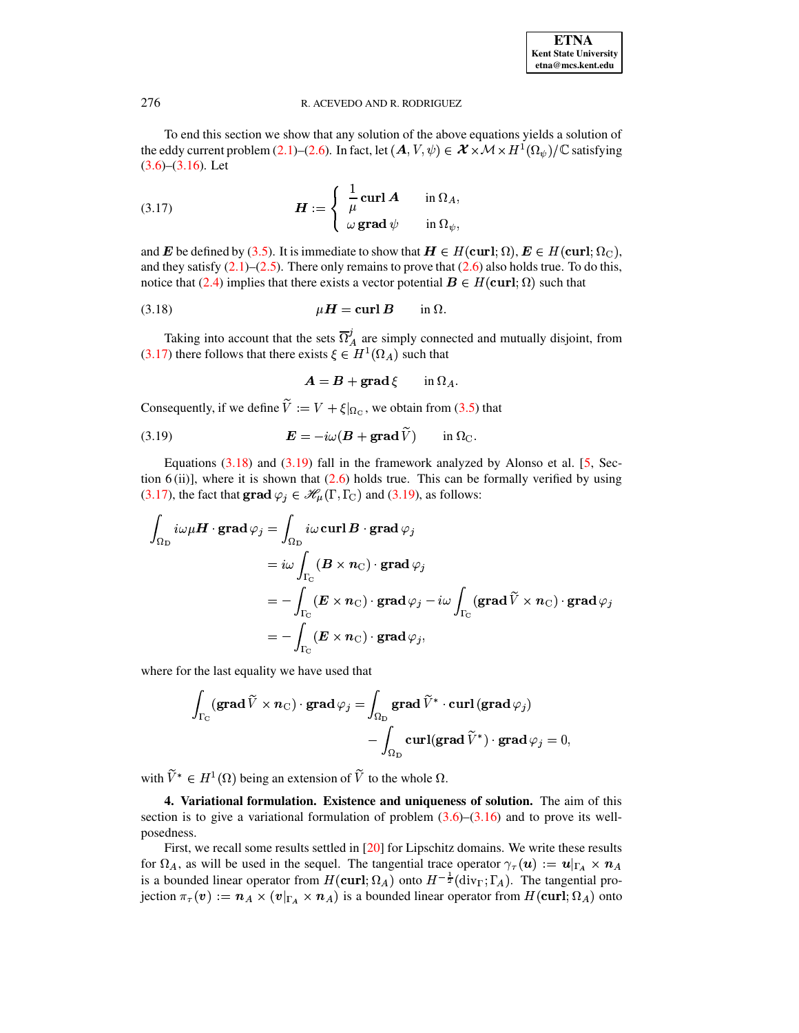| <b>ETNA</b>                  |
|------------------------------|
| <b>Kent State University</b> |
| etna@mcs.kent.edu            |

To end this section we show that any solution of the above equations yields a solution of To end this section we show that any solution of the above equations yields a solution of the eddy current problem [\(2.1\)](#page-2-2)–[\(2.6\)](#page-3-1). In fact, let  $(A, V, \psi) \in \mathcal{X} \times \mathcal{M} \times H^1(\Omega_{\psi})/\mathbb{C}$  satisfying equations yields a solution of<br> $\times \mathcal{M} \times H^1(\Omega_{\psi})$  /  $\mathbb{C}$  satisfying  $(3.6)$ – $(3.16)$ . Let

<span id="page-6-1"></span>(3.17) 
$$
\boldsymbol{H} := \begin{cases} \frac{1}{\mu} \operatorname{curl} \boldsymbol{A} & \text{in } \Omega_A, \\ \omega \operatorname{grad} \psi & \text{in } \Omega_{\psi}, \end{cases}
$$

and **E** be defined by [\(3.5\)](#page-4-1). It is immediate to show that  $H \in H(\text{curl}; \Omega)$ ,  $E \in H(\text{curl}; \Omega_C)$ , and they satisfy  $(2.1)$ – $(2.5)$ . There only remains to prove that  $(2.6)$  also holds true. To do this, notice that [\(2.4\)](#page-2-1) implies that there exists a vector potential  $\mathbf{B}\in H(\text{curl};\Omega)$  such that

(3.18) 
$$
\mu \mathbf{H} = \mathbf{curl} \mathbf{B} \qquad \text{in } \Omega.
$$

Taking into account that the sets  $\Omega'_{A}$  are simply connected and mutually disjoint, from [\(3.17\)](#page-6-1) there follows that there exists  $\xi \in H^1(\Omega_A)$  such that

<span id="page-6-3"></span><span id="page-6-2"></span>
$$
A = B + \operatorname{grad} \xi \qquad \text{in } \Omega_A.
$$

Consequently, if we define  $V := V + \xi|_{\Omega_{\rm C}}$ , we obtain from [\(3.5\)](#page-4-1) that

(3.19) 
$$
\boldsymbol{E} = -i\omega(\boldsymbol{B} + \boldsymbol{\mathrm{grad}}\,\widetilde{V}) \qquad \text{in } \Omega_{\mathrm{C}}.
$$

Equations  $(3.18)$  and  $(3.19)$  fall in the framework analyzed by Alonso et al. [\[5,](#page-14-18) Section  $6$ (ii)], where it is shown that  $(2.6)$  holds true. This can be formally verified by using [\(3.17\)](#page-6-1), the fact that  $\mathbf{grad}\varphi_j \in \mathcal{H}_{\mu}(\Gamma,\Gamma_{\text{C}})$  and [\(3.19\)](#page-6-3), as follows:

$$
\int_{\Omega_{\rm D}} i\omega \mu \mathbf{H} \cdot \mathbf{grad} \varphi_j = \int_{\Omega_{\rm D}} i\omega \mathbf{curl} \mathbf{B} \cdot \mathbf{grad} \varphi_j
$$
\n
$$
= i\omega \int_{\Gamma_{\rm C}} (\mathbf{B} \times \mathbf{n}_{\rm C}) \cdot \mathbf{grad} \varphi_j
$$
\n
$$
= -\int_{\Gamma_{\rm C}} (\mathbf{E} \times \mathbf{n}_{\rm C}) \cdot \mathbf{grad} \varphi_j - i\omega \int_{\Gamma_{\rm C}} (\mathbf{grad} \widetilde{V} \times \mathbf{n}_{\rm C}) \cdot \mathbf{grad} \varphi_j
$$
\n
$$
= -\int_{\Gamma_{\rm C}} (\mathbf{E} \times \mathbf{n}_{\rm C}) \cdot \mathbf{grad} \varphi_j,
$$

where for the last equality we have used that

$$
\begin{aligned} \int_{\Gamma_{\!\mathrm{C}}} &(\mathbf{grad}\, \widetilde{V}\times \boldsymbol{n}_\mathrm{C})\cdot \mathbf{grad}\, \varphi_j = \int_{\Omega_{\mathrm{D}}} \mathbf{grad}\, \widetilde{V}^*\cdot \mathbf{curl}\,(\mathbf{grad}\,\varphi_j) \\ &\quad - \int_{\Omega_{\mathrm{D}}} \mathbf{curl}(\mathbf{grad}\, \widetilde{V}^*)\cdot \mathbf{grad}\,\varphi_j = 0, \end{aligned}
$$

with  $V^* \in H^1(\Omega)$  being an extension of V to the whole  $\Omega$ .

<span id="page-6-0"></span>**4. Variational formulation. Existence and uniqueness of solution.** The aim of this section is to give a variational formulation of problem  $(3.6)$ – $(3.16)$  and to prove its wellposedness.

First, we recall some results settled in [\[20\]](#page-14-24) for Lipschitz domains. We write these results for  $\Omega_A$ , as will be used in the sequel. The tangential trace operator  $\gamma_\tau(\mathbf{u}) := \mathbf{u}|_{\Gamma_A} \times \mathbf{n}_A$ is a bounded linear operator from  $H(\text{curl}; \Omega_A)$  onto  $H^{-\frac{1}{2}}(\text{div}_\Gamma; \Gamma_A)$ . The tangential projection  $\pi_\tau(v) := n_A \times (v|_{\Gamma_A} \times n_A)$  is a bounded linear operator from  $H(\text{curl}; \Omega_A)$  onto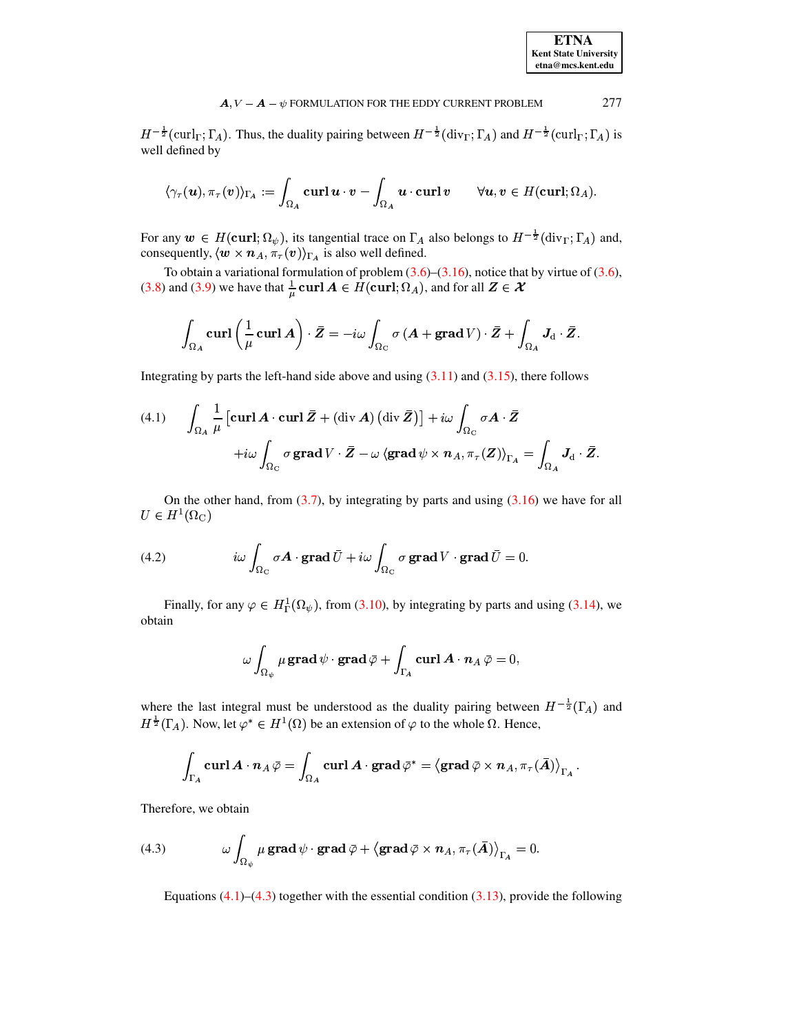| <b>ETNA</b>                  |
|------------------------------|
| <b>Kent State University</b> |
| etna@mcs.kent.edu            |

 $H^{-\frac{1}{2}}(\operatorname{curl}_{\Gamma};\Gamma_{A})$ . Thus, the duality pairing between  $H^{-\frac{1}{2}}(\operatorname{div}_{\Gamma};\Gamma_{A})$  and  $H^{-\frac{1}{2}}(\operatorname{curl}_{\Gamma};\Gamma_{A})$  is well defined by

$$
\langle \gamma_{\tau}(\boldsymbol{u}), \pi_{\tau}(\boldsymbol{v}) \rangle_{\Gamma_A} := \int_{\Omega_A} \boldsymbol{\mathrm{curl}}\, \boldsymbol{u} \cdot \boldsymbol{v} - \int_{\Omega_A} \boldsymbol{u} \cdot \boldsymbol{\mathrm{curl}}\, \boldsymbol{v} \qquad \forall \boldsymbol{u}, \boldsymbol{v} \in H(\boldsymbol{\mathrm{curl}}; \Omega_A).
$$

For any  $w \in H(\text{curl}; \Omega_{\psi})$ , its tangential trace on  $\Gamma_A$  also belongs to  $H^{-\frac{1}{2}}(\text{div}_{\Gamma}; \Gamma_A)$  and, consequently,  $\langle \mathbf{w} \times \mathbf{n}_A, \pi_\tau(\mathbf{v}) \rangle_{\Gamma_A}$  is also well defined.

To obtain a variational formulation of problem  $(3.6)$ – $(3.16)$ , notice that by virtue of  $(3.6)$ , (3.8) and (3.9) we have that  $\frac{1}{u}$  curl  $A \in H$  (curl;  $\Omega_A$ ), and for all  $Z \in \mathcal{X}$ 

$$
\int_{\Omega_A} \mathbf{curl} \left( \frac{1}{\mu} \mathbf{curl} \, A \right) \cdot \bar{Z} = -i\omega \int_{\Omega_C} \sigma \left( A + \mathbf{grad} \, V \right) \cdot \bar{Z} + \int_{\Omega_A} \mathbf{J}_{\mathrm{d}} \cdot \bar{Z}.
$$

Integrating by parts the left-hand side above and using  $(3.11)$  and  $(3.15)$ , there follows

<span id="page-7-0"></span>(4.1) 
$$
\int_{\Omega_A} \frac{1}{\mu} \left[ \operatorname{curl} \mathbf{A} \cdot \operatorname{curl} \mathbf{Z} + (\operatorname{div} \mathbf{A}) \left( \operatorname{div} \mathbf{Z} \right) \right] + i\omega \int_{\Omega_C} \sigma \mathbf{A} \cdot \mathbf{Z} + i\omega \int_{\Omega_C} \sigma \operatorname{grad} V \cdot \mathbf{Z} - \omega \langle \operatorname{grad} \psi \times \mathbf{n}_A, \pi_\tau(\mathbf{Z}) \rangle_{\Gamma_A} = \int_{\Omega_A} \mathbf{J}_{\mathrm{d}} \cdot \mathbf{Z}
$$

On the other hand, from  $(3.7)$ , by integrating by parts and using  $(3.16)$  we have for all  $U \in H^1(\Omega_{\mathbb{C}})$ 

(4.2) 
$$
i\omega \int_{\Omega_{\rm C}} \sigma \mathbf{A} \cdot \mathbf{grad} \,\overline{U} + i\omega \int_{\Omega_{\rm C}} \sigma \mathbf{grad} \, V \cdot \mathbf{grad} \,\overline{U} = 0.
$$

Finally, for any  $\varphi \in H^1_{\Gamma}(\Omega_{\psi})$ , from (3.10), by integrating by parts and using (3.14), we obtain

$$
\omega\int_{\Omega_\psi} \mu\,\mathbf{grad}\,\psi\cdot\mathbf{grad}\,\bar{\varphi}+\int_{\Gamma_A}\mathbf{curl}\,\boldsymbol{A}\cdot\boldsymbol{n}_A\,\bar{\varphi}=0,
$$

where the last integral must be understood as the duality pairing between  $H^{-\frac{1}{2}}(\Gamma_A)$  and  $H^{\frac{1}{2}}(\Gamma_A)$ . Now, let  $\varphi^* \in H^1(\Omega)$  be an extension of  $\varphi$  to the whole  $\Omega$ . Hence,

$$
\int_{\Gamma_A} \mathbf{curl}\, \pmb{A}\cdot \pmb{n}_A\, \bar{\varphi} = \int_{\Omega_A} \mathbf{curl}\, \pmb{A}\cdot \mathbf{grad}\, \bar{\varphi}^* = \left\langle \mathbf{grad}\, \bar{\varphi}\times \pmb{n}_A, \pi_\tau(\bar{A}) \right\rangle_{\Gamma_A}.
$$

<span id="page-7-1"></span>Therefore, we obtain

(4.3) 
$$
\omega \int_{\Omega_{\psi}} \mu \operatorname{grad} \psi \cdot \operatorname{grad} \bar{\varphi} + \left\langle \operatorname{grad} \bar{\varphi} \times \boldsymbol{n}_A, \pi_{\tau}(\bar{A}) \right\rangle_{\Gamma_A} = 0.
$$

Equations  $(4.1)$ – $(4.3)$  together with the essential condition  $(3.13)$ , provide the following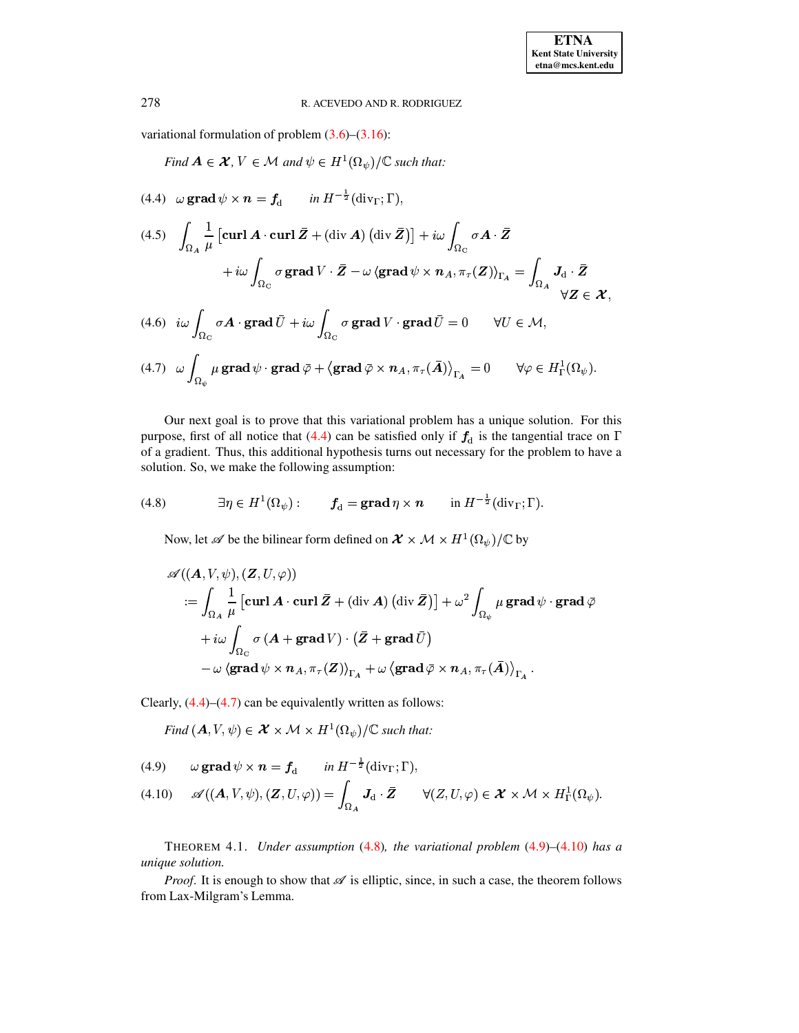variational formulation of problem [\(3.6\)](#page-5-3)–[\(3.16\)](#page-5-4):

*Find*  $A \in \mathcal{X}$ ,  $V \in \mathcal{M}$  *and*  $\psi \in H^1(\Omega_{\psi})/\mathbb{C}$  *such that:* 

<span id="page-8-0"></span>(4.4)  $\omega$  grad  $\psi \times n = f_d$  in  $H^{-\frac{1}{2}}(\text{div}_\Gamma; \Gamma)$ ,

 $\overline{\phantom{a}}$ 

<span id="page-8-5"></span>
$$
(4.5) \quad \int_{\Omega_A} \frac{1}{\mu} \left[ \operatorname{curl} \mathbf{A} \cdot \operatorname{curl} \bar{\mathbf{Z}} + (\operatorname{div} \mathbf{A}) \left( \operatorname{div} \bar{\mathbf{Z}} \right) \right] + i\omega \int_{\Omega_C} \sigma \mathbf{A} \cdot \bar{\mathbf{Z}} \\
+ i\omega \int_{\Omega_C} \sigma \operatorname{grad} V \cdot \bar{\mathbf{Z}} - \omega \left( \operatorname{grad} \psi \times \mathbf{n}_A, \pi_\tau(\mathbf{Z}) \right)_{\Gamma_A} = \int_{\Omega_A} \mathbf{J}_d \cdot \bar{\mathbf{Z}} \\
(4.6) \quad i\omega \int_{\Omega_A} \sigma \mathbf{A} \cdot \operatorname{grad} \bar{U} + i\omega \int_{\Omega_A} \sigma \operatorname{grad} V \cdot \operatorname{grad} \bar{U} = 0 \qquad \forall U \in \mathcal{M}.
$$

<span id="page-8-6"></span> $\int_{\Omega_{G}}\sigma\boldsymbol{A}\cdot\mathbf{grad}\,\bar{U}+i\omega\int_{\Omega_{G}}\sigma\,\mathbf{grad}% \mathbf{G}\cdot\mathbf{G}$   $f(\hspace{-.08in}4.6) \hspace{.2in} i \omega \hspace{.2in} \int \hspace{.2in} \sigma \mathbf{A} \cdot \mathbf{grad} \hspace{.2in} U + i \omega \hspace{.2in} \int \hspace{.2in} \sigma \, \mathbf{grad} \hspace{.2in} V \cdot \mathbf{grad} \hspace{.2in} U = 0 \hspace{.6in} \forall U \in \mathcal{M},$ 

<span id="page-8-1"></span>
$$
(4.7) \quad \omega \int_{\Omega_{\psi}} \mu \operatorname{grad} \psi \cdot \operatorname{grad} \bar{\varphi} + \left\langle \operatorname{grad} \bar{\varphi} \times \boldsymbol{n}_A, \pi_{\tau}(\bar{A}) \right\rangle_{\Gamma_A} = 0 \qquad \forall \varphi \in H^1_{\Gamma}(\Omega_{\psi}).
$$

Our next goal is to prove that this variational problem has a unique solution. For this purpose, first of all notice that [\(4.4\)](#page-8-0) can be satisfied only if  $f_d$  is the tangential trace on  $\Gamma$ of a gradient. Thus, this additional hypothesis turns out necessary for the problem to have a solution. So, we make the following assumption:

(4.8) 
$$
\exists \eta \in H^{1}(\Omega_{\psi}): \qquad f_{d} = \mathbf{grad} \eta \times \mathbf{n} \qquad \text{in } H^{-\frac{1}{2}}(\mathrm{div}_{\Gamma}; \Gamma).
$$

<span id="page-8-2"></span>Now, let  $\mathscr A$  be the bilinear form defined on  $\mathcal X \times \mathcal M \times H^1(\Omega_\psi)/\mathbb C$  by

$$
\begin{aligned} &\mathscr{A}((\boldsymbol{A},V,\psi),(\boldsymbol{Z},U,\varphi)) \\ &:= \int_{\Omega_A} \frac{1}{\mu} \left[ \mathbf{curl}\, \boldsymbol{A} \cdot \mathbf{curl}\, \bar{\boldsymbol{Z}} + (\mathrm{div}\, \boldsymbol{A}) \left( \mathrm{div}\, \bar{\boldsymbol{Z}} \right) \right] + \omega^2 \int_{\Omega_\psi} \mu \, \mathbf{grad}\, \psi \cdot \mathbf{grad}\, \bar{\varphi} \\ & \quad + i \omega \int_{\Omega_{\mathrm{C}}} \sigma \left( \boldsymbol{A} + \mathbf{grad}\, V \right) \cdot \left( \bar{\boldsymbol{Z}} + \mathbf{grad}\, \bar{U} \right) \\ & \quad - \omega \left\langle \mathbf{grad}\, \psi \times \boldsymbol{n}_A , \pi_\tau(\boldsymbol{Z}) \right\rangle_{\Gamma_A} + \omega \left\langle \mathbf{grad}\, \bar{\varphi} \times \boldsymbol{n}_A , \pi_\tau(\bar{\boldsymbol{A}}) \right\rangle_{\Gamma_A} . \end{aligned}
$$

Clearly, [\(4.4\)](#page-8-0)–[\(4.7\)](#page-8-1) can be equivalently written as follows:<br>Find  $(A, V, \psi) \in \mathcal{X} \times \mathcal{M} \times H^1(\Omega_{\psi}) / \mathbb{C}$  such that:

*Find*  $(A, V, \psi) \in \mathcal{X} \times \mathcal{M} \times H^1(\Omega_{\psi})/\mathbb{C}$  such that:

<span id="page-8-4"></span><span id="page-8-3"></span>(4.9) 
$$
\omega \operatorname{grad} \psi \times n = f_d \quad \text{in } H^{-\frac{1}{2}}(\text{div}_{\Gamma}; \Gamma),
$$
  
(4.10)  $\mathscr{A}((A, V, \psi), (Z, U, \varphi)) = \int_{\Omega_A} \mathbf{J}_d \cdot \bar{Z} \quad \forall (Z, U, \varphi) \in \mathcal{X} \times \mathcal{M} \times H^1_{\Gamma}(\Omega_{\psi}).$ 

THEOREM 4.1. *Under assumption* [\(4.8\)](#page-8-2)*, the variational problem* [\(4.9\)](#page-8-3)*–*[\(4.10\)](#page-8-4) *has a unique solution.*

*Proof.* It is enough to show that  $\mathscr A$  is elliptic, since, in such a case, the theorem follows from Lax-Milgram's Lemma.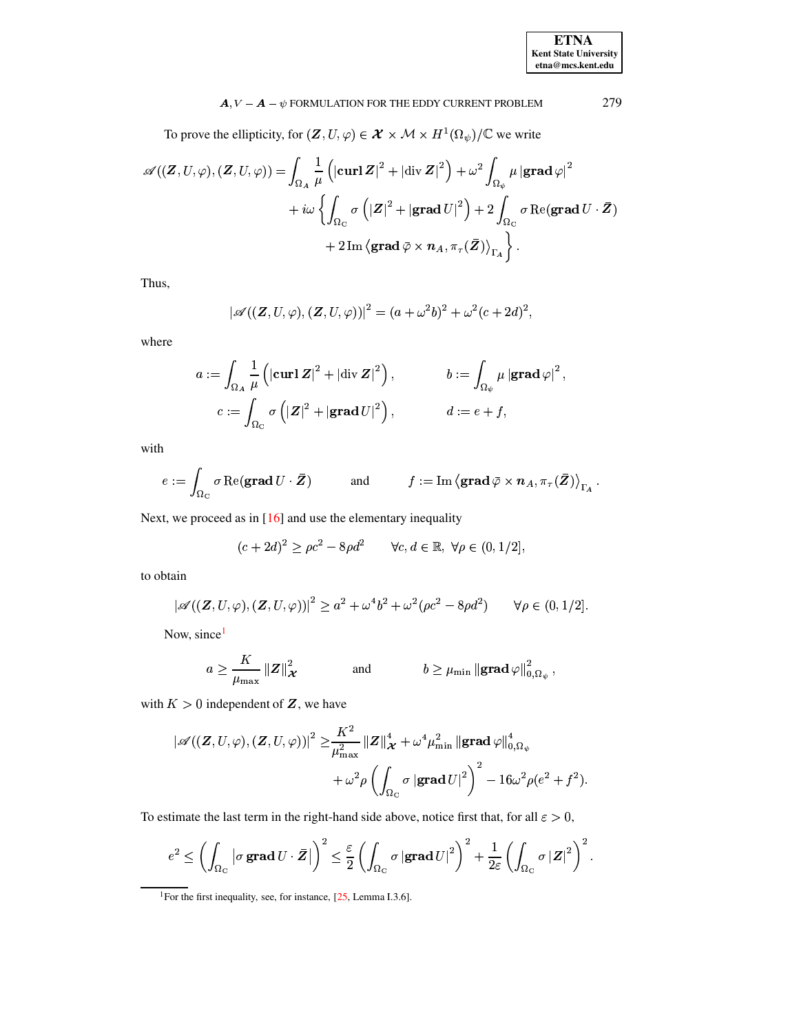To prove the ellipticity, for  $(\mathbf{Z}, U, \varphi) \in \mathcal{X} \times \mathcal{M} \times H^1(\Omega_{\psi})/\mathbb{C}$  we write

$$
\begin{split} \mathscr{A}((\boldsymbol{Z},U,\varphi),(\boldsymbol{Z},U,\varphi))=&\int_{\Omega_A}\frac{1}{\mu}\left(|\mathbf{curl}\,\boldsymbol{Z}|^2+|\mathrm{div}\,\boldsymbol{Z}|^2\right)+\omega^2\int_{\Omega_\psi}\mu\left|\mathbf{grad}\,\varphi\right|^2\\&+i\omega\left\{\int_{\Omega_C}\sigma\left(\left|\boldsymbol{Z}\right|^2+\left|\mathbf{grad}\,U\right|^2\right)+2\int_{\Omega_C}\sigma\,\mathrm{Re}(\mathbf{grad}\,U\cdot\bar{\boldsymbol{Z}})\\&+2\,\mathrm{Im}\left\langle\mathbf{grad}\,\bar{\varphi}\times\boldsymbol{n}_A,\pi_\tau(\bar{\boldsymbol{Z}})\right\rangle_{\Gamma_A}\right\}.\end{split}
$$

Thus,

$$
|\mathscr{A}((\mathbf{Z}, U, \varphi), (\mathbf{Z}, U, \varphi))|^2 = (a + \omega^2 b)^2 + \omega^2 (c + 2d)^2,
$$

where

$$
a := \int_{\Omega_A} \frac{1}{\mu} \left( |\operatorname{curl} \mathbf{Z}|^2 + |\operatorname{div} \mathbf{Z}|^2 \right), \qquad b := \int_{\Omega_{\psi}} \mu |\operatorname{grad} \varphi|^2
$$
  

$$
c := \int_{\Omega_C} \sigma \left( |\mathbf{Z}|^2 + |\operatorname{grad} U|^2 \right), \qquad d := e + f,
$$

with

$$
e := \int_{\Omega_{\mathcal{C}}} \sigma \operatorname{Re}(\mathbf{grad} \, U \cdot \bar{\mathbf{Z}}) \quad \text{and} \quad f := \operatorname{Im} \left\langle \mathbf{grad} \, \bar{\varphi} \times \mathbf{n}_A, \pi_{\tau}(\bar{\mathbf{Z}}) \right\rangle_{\Gamma_A}
$$

Next, we proceed as in  $[16]$  and use the elementary inequality

$$
(c+2d)^2 \ge \rho c^2 - 8\rho d^2 \qquad \forall c, d \in \mathbb{R}, \ \forall \rho \in (0, 1/2].
$$

to obtain

$$
|\mathscr{A}((\mathbf{Z},U,\varphi),(\mathbf{Z},U,\varphi))|^2 \geq a^2 + \omega^4 b^2 + \omega^2 (\rho c^2 - 8\rho d^2)
$$
  $\forall \rho \in (0,1/2].$ 

Now, since<sup>1</sup>

$$
a \ge \frac{K}{\mu_{\max}} ||Z||^2_{\mathcal{X}}
$$
 and  $b \ge \mu_{\min} ||grad \varphi||^2_{0,\Omega_{\psi}},$ 

with  $K > 0$  independent of  $Z$ , we have

$$
\begin{aligned} \left|\mathscr{A}((\boldsymbol{Z},U,\varphi),(\boldsymbol{Z},U,\varphi))\right|^2 \geq & \frac{K^2}{\mu_{\max}^2} \left\|\boldsymbol{Z}\right\|_{\boldsymbol{\mathcal{X}}}^4 + \omega^4 \mu_{\min}^2 \left\|\mathbf{grad}\,\varphi\right\|_{0,\Omega_{\psi}}^4 \\ & \qquad \qquad + \omega^2 \rho \left(\int_{\Omega_{\mathrm{C}}} \sigma \left|\mathbf{grad}\,U\right|^2\right)^2 - 16 \omega^2 \rho (e^2 + f^2) \end{aligned}
$$

To estimate the last term in the right-hand side above, notice first that, for all  $\varepsilon > 0$ ,

$$
e^2\leq \left(\int_{\Omega_{\mathrm{C}}}\left|\sigma\,\mathbf{grad}\,U\cdot\bar{\bm{Z}}\right|\right)^2\leq\frac{\varepsilon}{2}\left(\int_{\Omega_{\mathrm{C}}}\sigma\left|\mathbf{grad}\,U\right|^2\right)^2+\frac{1}{2\varepsilon}\left(\int_{\Omega_{\mathrm{C}}}\sigma\left|\bm{Z}\right|^2\right)^2.
$$

<span id="page-9-0"></span><sup>&</sup>lt;sup>1</sup>For the first inequality, see, for instance, [25, Lemma I.3.6].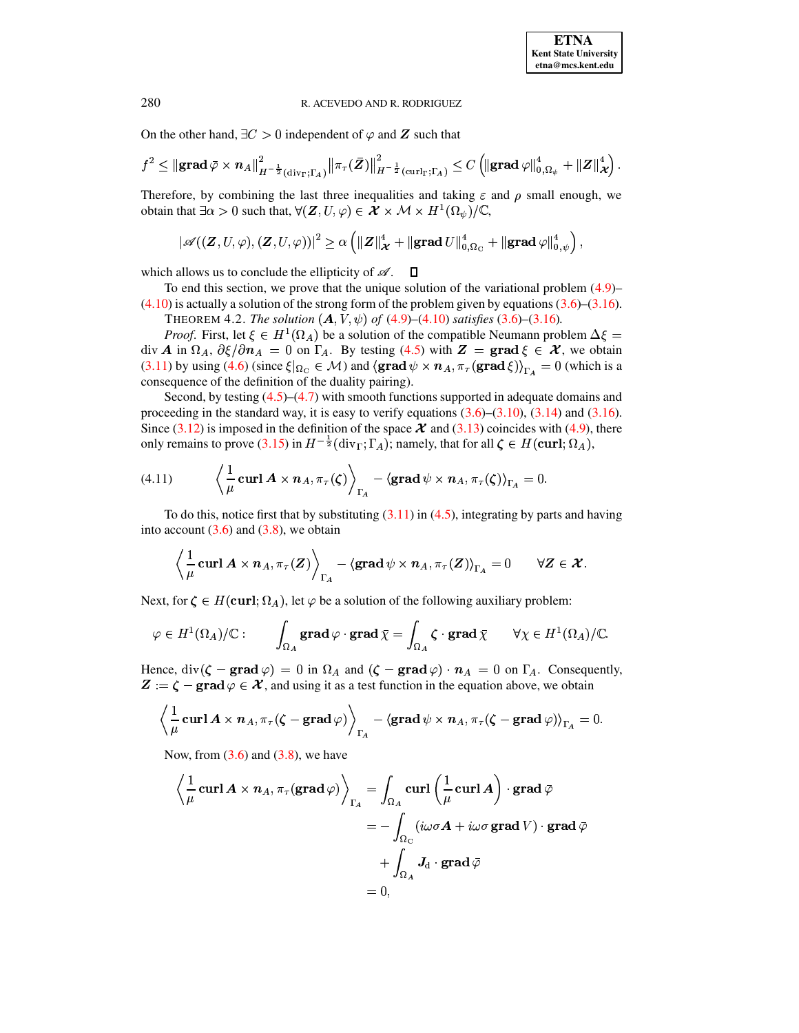On the other hand,  $\exists C > 0$  independent of  $\varphi$  and **Z** such that

$$
f^2\leq \left\|{\mathbf{grad}\,} \bar{\varphi} \times \boldsymbol n_A \right\|_{H^{-\frac{1}{2}}(\operatorname{div}_\Gamma;\Gamma_A)}^2\left\|\pi_\tau(\bar{\boldsymbol Z})\right\|_{H^{-\frac{1}{2}}(\operatorname{curl}_\Gamma;\Gamma_A)}^2\leq C\left(\left\|{\mathbf{grad}\,} \varphi\right\|_{0,\Omega_\psi}^4+\left\|\boldsymbol Z\right\|_{\boldsymbol{\mathcal X}}^4\right).
$$

Therefore, by combining the last three inequalities and taking  $\varepsilon$  and  $\rho$  small enough, we obtain that  $\exists \alpha > 0$  such that,  $\forall (\mathbf{Z}, U, \varphi) \in \mathcal{X} \times \mathcal{M} \times H^1(\Omega_{\psi})/\mathbb{C}$ ,

$$
\left|\mathscr{A}((\boldsymbol{Z},U,\varphi),(\boldsymbol{Z},U,\varphi))\right|^2\geq\alpha\left(\|\boldsymbol{Z}\|_{\boldsymbol{\mathcal{X}}}^4+\|\mathbf{grad}\,U\|_{0,\Omega_C}^4+\|\mathbf{grad}\,\varphi\|_{0,\psi}^4\right),
$$

which allows us to conclude the ellipticity of  $\mathscr A$ .  $\Box$ 

<span id="page-10-1"></span>To end this section, we prove that the unique solution of the variational problem  $(4.9)$ - $(4.10)$  is actually a solution of the strong form of the problem given by equations  $(3.6)$ – $(3.16)$ .

THEOREM 4.2. The solution  $(A, V, \psi)$  of  $(4.9)$ – $(4.10)$  satisfies  $(3.6)$ – $(3.16)$ .

*Proof.* First, let  $\xi \in H^1(\Omega_A)$  be a solution of the compatible Neumann problem  $\Delta \xi =$ div A in  $\Omega_A$ ,  $\partial \xi / \partial n_A = 0$  on  $\Gamma_A$ . By testing (4.5) with  $Z = \text{grad} \xi \in \mathcal{X}$ , we obtain (3.11) by using (4.6) (since  $\xi|_{\Omega_{\rm C}} \in M$ ) and  $\langle \textbf{grad } \psi \times n_A, \pi_{\tau} (\textbf{grad } \xi) \rangle_{\Gamma_{A}} = 0$  (which is a consequence of the definition of the duality pairing).

Second, by testing  $(4.5)$ – $(4.7)$  with smooth functions supported in adequate domains and proceeding in the standard way, it is easy to verify equations  $(3.6)$ – $(3.10)$ ,  $(3.14)$  and  $(3.16)$ . Since  $(3.12)$  is imposed in the definition of the space  $\mathcal X$  and  $(3.13)$  coincides with  $(4.9)$ , there only remains to prove (3.15) in  $H^{-\frac{1}{2}}(\text{div}_{\Gamma};\Gamma_A)$ ; namely, that for all  $\zeta \in H(\text{curl};\Omega_A)$ ,

(4.11) 
$$
\left\langle \frac{1}{\mu} \operatorname{curl} A \times n_A, \pi_\tau(\zeta) \right\rangle_{\Gamma_A} - \left\langle \operatorname{grad} \psi \times n_A, \pi_\tau(\zeta) \right\rangle_{\Gamma_A} = 0
$$

To do this, notice first that by substituting  $(3.11)$  in  $(4.5)$ , integrating by parts and having into account  $(3.6)$  and  $(3.8)$ , we obtain

<span id="page-10-0"></span>
$$
\left\langle \frac{1}{\mu} \operatorname{curl} A \times n_A, \pi_\tau(Z) \right\rangle_{\Gamma_A} - \left\langle \operatorname{grad} \psi \times n_A, \pi_\tau(Z) \right\rangle_{\Gamma_A} = 0 \qquad \forall Z \in \mathcal{X}.
$$

Next, for  $\zeta \in H(\text{curl}; \Omega_A)$ , let  $\varphi$  be a solution of the following auxiliary problem:

$$
\varphi \in H^1(\Omega_A)/\mathbb{C}: \qquad \int_{\Omega_A} \mathbf{grad}\, \varphi \cdot \mathbf{grad}\, \bar{\chi} = \int_{\Omega_A} \zeta \cdot \mathbf{grad}\, \bar{\chi} \qquad \forall \chi \in H^1(\Omega_A)/\mathbb{C}.
$$

Hence,  $\text{div}(\zeta - \text{grad}\,\varphi) = 0$  in  $\Omega_A$  and  $(\zeta - \text{grad}\,\varphi) \cdot n_A = 0$  on  $\Gamma_A$ . Consequently,  $\mathbf{Z} := \zeta - \mathbf{grad} \varphi \in \mathcal{X}$ , and using it as a test function in the equation above, we obtain

$$
\left\langle \frac{1}{\mu} \operatorname{curl} A \times n_A, \pi_\tau(\zeta - \operatorname{grad} \varphi) \right\rangle_{\Gamma_A} - \left\langle \operatorname{grad} \psi \times n_A, \pi_\tau(\zeta - \operatorname{grad} \varphi) \right\rangle_{\Gamma_A} = 0.
$$

Now, from  $(3.6)$  and  $(3.8)$ , we have

$$
\left\langle \frac{1}{\mu} \operatorname{curl} A \times n_A, \pi_{\tau}(\operatorname{grad} \varphi) \right\rangle_{\Gamma_A} = \int_{\Omega_A} \operatorname{curl} \left( \frac{1}{\mu} \operatorname{curl} A \right) \cdot \operatorname{grad} \bar{\varphi}
$$

$$
= - \int_{\Omega_C} (i\omega \sigma A + i\omega \sigma \operatorname{grad} V) \cdot \operatorname{grad} \bar{\varphi}
$$

$$
+ \int_{\Omega_A} \mathbf{J}_d \cdot \operatorname{grad} \bar{\varphi}
$$

$$
= 0,
$$

280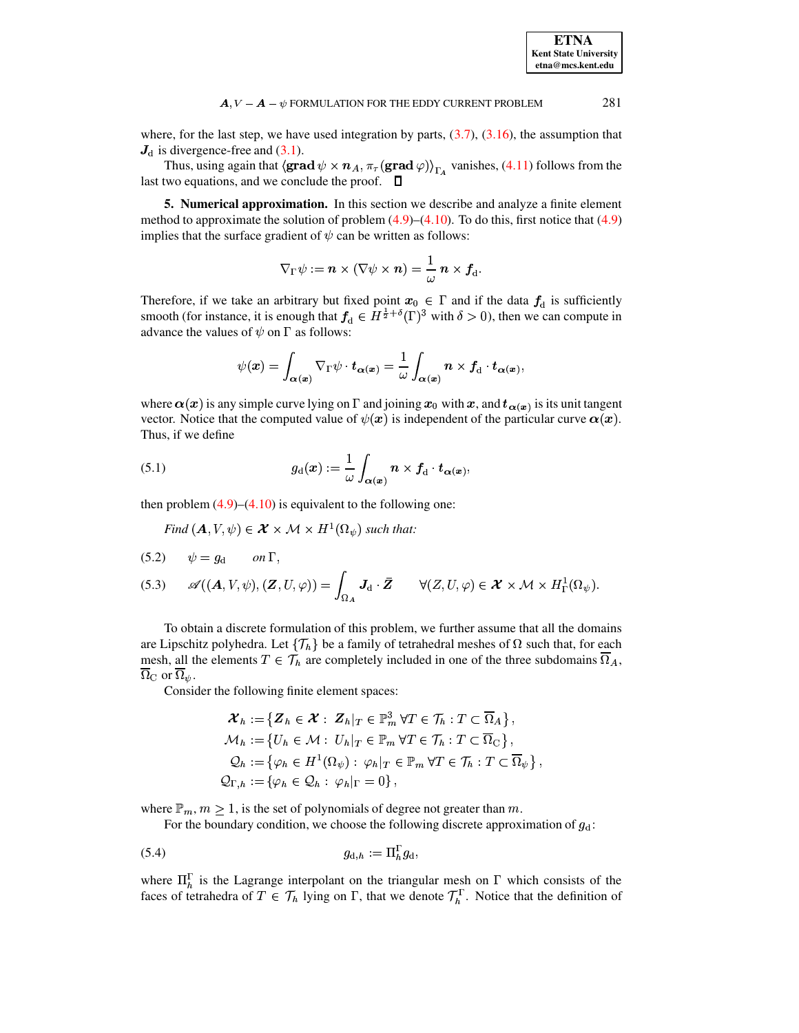**ETNA Kent State University**  $etna@mcs. kent.edu$ 

#### 281  $\mathbf{A}, V - \mathbf{A} - \psi$  FORMULATION FOR THE EDDY CURRENT PROBLEM

where, for the last step, we have used integration by parts,  $(3.7)$ ,  $(3.16)$ , the assumption that  $J_d$  is divergence-free and (3.1).

Thus, using again that  $\langle \textbf{grad} \psi \times \mathbf{n}_A, \pi_\tau (\textbf{grad} \varphi) \rangle_{\Gamma_A}$  vanishes, (4.11) follows from the last two equations, and we conclude the proof.  $\Box$ 

<span id="page-11-0"></span>5. Numerical approximation. In this section we describe and analyze a finite element method to approximate the solution of problem  $(4.9)$ – $(4.10)$ . To do this, first notice that  $(4.9)$ implies that the surface gradient of  $\psi$  can be written as follows:

$$
\nabla_{\Gamma}\psi:=\boldsymbol{n}\times(\nabla\psi\times\boldsymbol{n})=\frac{1}{\omega}\;\boldsymbol{n}\times\boldsymbol{f}_{\rm d}.
$$

Therefore, if we take an arbitrary but fixed point  $x_0 \in \Gamma$  and if the data  $f_d$  is sufficiently smooth (for instance, it is enough that  $f_d \in H^{\frac{1}{2}+\delta}(\Gamma)^3$  with  $\delta > 0$ ), then we can compute in advance the values of  $\psi$  on  $\Gamma$  as follows:

$$
\psi(\boldsymbol{x}) = \int_{\boldsymbol{\alpha}(\boldsymbol{x})} \nabla_{\Gamma} \psi \cdot \boldsymbol{t}_{\boldsymbol{\alpha}(\boldsymbol{x})} = \frac{1}{\omega} \int_{\boldsymbol{\alpha}(\boldsymbol{x})} \boldsymbol{n} \times \boldsymbol{f}_{\mathrm{d}} \cdot \boldsymbol{t}_{\boldsymbol{\alpha}(\boldsymbol{x})},
$$

<span id="page-11-1"></span>where  $\alpha(x)$  is any simple curve lying on  $\Gamma$  and joining  $x_0$  with  $x$ , and  $t_{\alpha(x)}$  is its unit tangent vector. Notice that the computed value of  $\psi(x)$  is independent of the particular curve  $\alpha(x)$ . Thus, if we define

(5.1) 
$$
g_{\mathbf{d}}(\boldsymbol{x}) := \frac{1}{\omega} \int_{\boldsymbol{\alpha}(\boldsymbol{x})} \boldsymbol{n} \times \boldsymbol{f}_{\mathbf{d}} \cdot \boldsymbol{t}_{\boldsymbol{\alpha}(\boldsymbol{x})},
$$

then problem  $(4.9)$ – $(4.10)$  is equivalent to the following one:

Find  $(A, V, \psi) \in \mathcal{X} \times \mathcal{M} \times H^1(\Omega_{\psi})$  such that:

<span id="page-11-4"></span><span id="page-11-3"></span>(5.2) 
$$
\psi = g_d \quad on \Gamma
$$
,  
(5.3)  $\mathscr{A}((A, V, \psi), (\mathbf{Z}, U, \varphi)) = \int_{\Omega_A} \mathbf{J}_d \cdot \bar{\mathbf{Z}} \qquad \forall (Z, U, \varphi) \in \mathcal{X} \times \mathcal{M} \times H^1_{\Gamma}(\Omega_{\psi}).$ 

To obtain a discrete formulation of this problem, we further assume that all the domains are Lipschitz polyhedra. Let  $\{\mathcal{T}_h\}$  be a family of tetrahedral meshes of  $\Omega$  such that, for each mesh, all the elements  $T \in \mathcal{T}_h$  are completely included in one of the three subdomains  $\overline{\Omega}_A$ ,  $\overline{\Omega}_C$  or  $\overline{\Omega}_\psi$ .

Consider the following finite element spaces:

<span id="page-11-2"></span>
$$
\mathcal{X}_h := \{ \mathbf{Z}_h \in \mathcal{X} : \ \mathbf{Z}_h |_T \in \mathbb{P}_m^3 \ \forall T \in \mathcal{T}_h : T \subset \overline{\Omega}_A \},
$$
\n
$$
\mathcal{M}_h := \{ U_h \in \mathcal{M} : \ U_h |_T \in \mathbb{P}_m \ \forall T \in \mathcal{T}_h : T \subset \overline{\Omega}_C \},
$$
\n
$$
\mathcal{Q}_h := \{ \varphi_h \in H^1(\Omega_\psi) : \ \varphi_h |_T \in \mathbb{P}_m \ \forall T \in \mathcal{T}_h : T \subset \overline{\Omega}_\psi \},
$$
\n
$$
\mathcal{Q}_{\Gamma,h} := \{ \varphi_h \in \mathcal{Q}_h : \ \varphi_h |_{\Gamma} = 0 \},
$$

where  $\mathbb{P}_m$ ,  $m \geq 1$ , is the set of polynomials of degree not greater than m.

For the boundary condition, we choose the following discrete approximation of  $g_d$ :

$$
(5.4) \t\t g_{d,h} := \Pi_h^{\Gamma} g_d
$$

where  $\Pi_h^{\Gamma}$  is the Lagrange interpolant on the triangular mesh on  $\Gamma$  which consists of the faces of tetrahedra of  $T \in \mathcal{T}_h$  lying on  $\Gamma$ , that we denote  $\mathcal{T}_h^{\Gamma}$ . Notice that the definition of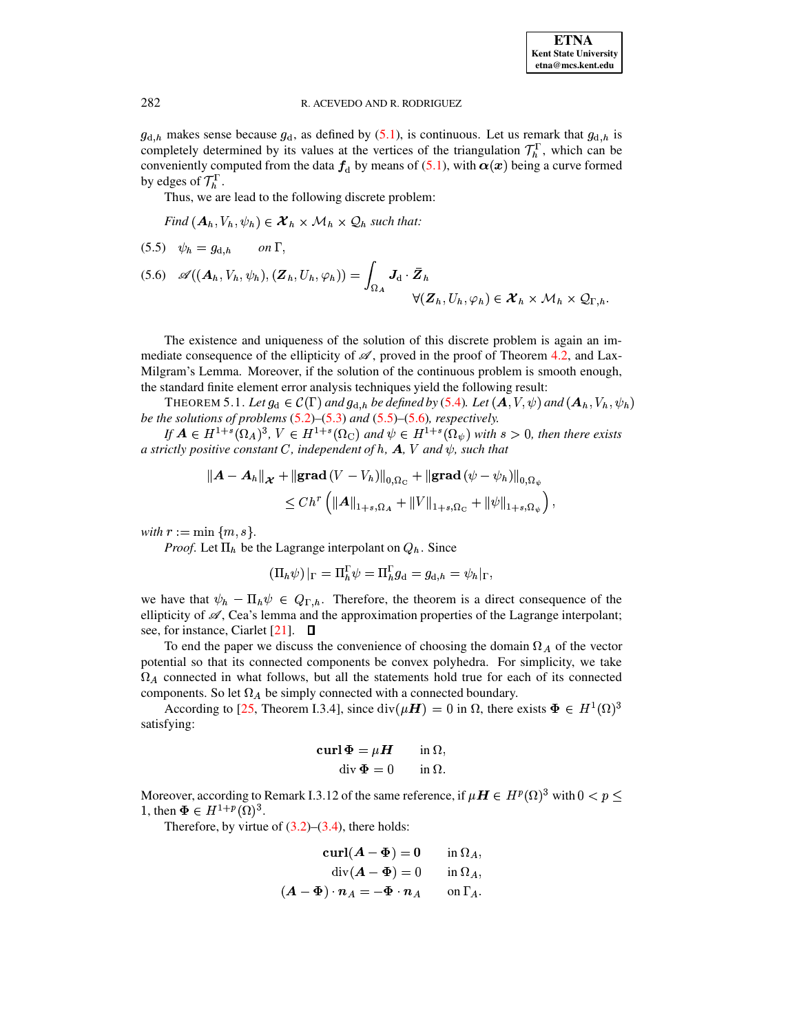$g_{d,h}$  makes sense because  $g_d$ , as defined by (5.1), is continuous. Let us remark that  $g_{d,h}$  is completely determined by its values at the vertices of the triangulation  $\mathcal{T}_h^{\Gamma}$ , which can be conveniently computed from the data  $f_d$  by means of (5.1), with  $\alpha(x)$  being a curve formed by edges of  $\mathcal{T}_h^1$ .

Thus, we are lead to the following discrete problem:

Find  $(A_h, V_h, \psi_h) \in \mathcal{X}_h \times \mathcal{M}_h \times \mathcal{Q}_h$  such that:

<span id="page-12-0"></span>
$$
(5.5) \quad \psi_h = g_{d,h} \qquad on \ \Gamma,
$$

<span id="page-12-1"></span>
$$
(5.6) \quad \mathscr{A}((\mathbf{A}_h, V_h, \psi_h), (\mathbf{Z}_h, U_h, \varphi_h)) = \int_{\Omega_A} \mathbf{J}_d \cdot \mathbf{\bar{Z}}_h
$$

$$
\forall (\mathbf{Z}_h, U_h, \varphi_h) \in \mathbf{\mathcal{X}}_h \times \mathcal{M}_h \times \mathcal{Q}_{\Gamma, h}.
$$

The existence and uniqueness of the solution of this discrete problem is again an immediate consequence of the ellipticity of  $\mathscr{A}$ , proved in the proof of Theorem 4.2, and Lax-Milgram's Lemma. Moreover, if the solution of the continuous problem is smooth enough, the standard finite element error analysis techniques yield the following result:

<span id="page-12-2"></span>THEOREM 5.1. Let  $g_d \in C(\Gamma)$  and  $g_{d,h}$  be defined by (5.4). Let  $(A, V, \psi)$  and  $(A_h, V_h, \psi_h)$ be the solutions of problems  $(5.2)$ – $(5.3)$  and  $(5.5)$ – $(5.6)$ , respectively.

If  $A \in H^{1+s}(\Omega_A)^3$ ,  $V \in H^{1+s}(\Omega_C)$  and  $\psi \in H^{1+s}(\Omega_{\psi})$  with  $s > 0$ , then there exists a strictly positive constant C, independent of h, A, V and  $\psi$ , such that

$$
\|A - A_h\|_{\mathcal{X}} + \|\text{grad}\,(V - V_h)\|_{0,\Omega_{\mathcal{C}}} + \|\text{grad}\,(\psi - \psi_h)\|_{0,\Omega_{\psi}}\leq Ch^r \left( \|A\|_{1+s,\Omega_A} + \|V\|_{1+s,\Omega_{\mathcal{C}}} + \|\psi\|_{1+s,\Omega_{\psi}} \right),
$$

with  $r := \min \{m, s\}.$ 

*Proof.* Let  $\Pi_h$  be the Lagrange interpolant on  $Q_h$ . Since

$$
(\Pi_h \psi)|_{\Gamma} = \Pi_h^{\Gamma} \psi = \Pi_h^{\Gamma} g_{\mathbf{d}} = g_{\mathbf{d},h} = \psi_h|_{\Gamma},
$$

we have that  $\psi_h - \Pi_h \psi \in Q_{\Gamma,h}$ . Therefore, the theorem is a direct consequence of the ellipticity of  $\mathscr{A}$ , Cea's lemma and the approximation properties of the Lagrange interpolant; see, for instance, Ciarlet  $[21]$ .  $\Box$ 

To end the paper we discuss the convenience of choosing the domain  $\Omega_A$  of the vector potential so that its connected components be convex polyhedra. For simplicity, we take  $\Omega_A$  connected in what follows, but all the statements hold true for each of its connected components. So let  $\Omega_A$  be simply connected with a connected boundary.

According to [25, Theorem I.3.4], since  $div(\mu H) = 0$  in  $\Omega$ , there exists  $\Phi \in H^1(\Omega)^3$ satisfying:

$$
\mathbf{curl}\,\Phi = \mu \mathbf{H} \qquad \text{in } \Omega,
$$

$$
\mathrm{div}\,\Phi = 0 \qquad \text{in } \Omega.
$$

Moreover, according to Remark I.3.12 of the same reference, if  $\mu H \in H^p(\Omega)^3$  with  $0 < p \le$ 1, then  $\Phi \in H^{1+p}(\Omega)^3$ .

Therefore, by virtue of  $(3.2)$ – $(3.4)$ , there holds:

 $\overline{\phantom{a}}$ 

$$
\operatorname{curl}(A - \Phi) = 0 \quad \text{in } \Omega_A,
$$
  
\n
$$
\operatorname{div}(A - \Phi) = 0 \quad \text{in } \Omega_A,
$$
  
\n
$$
A - \Phi) \cdot n_A = -\Phi \cdot n_A \quad \text{on } \Gamma_A.
$$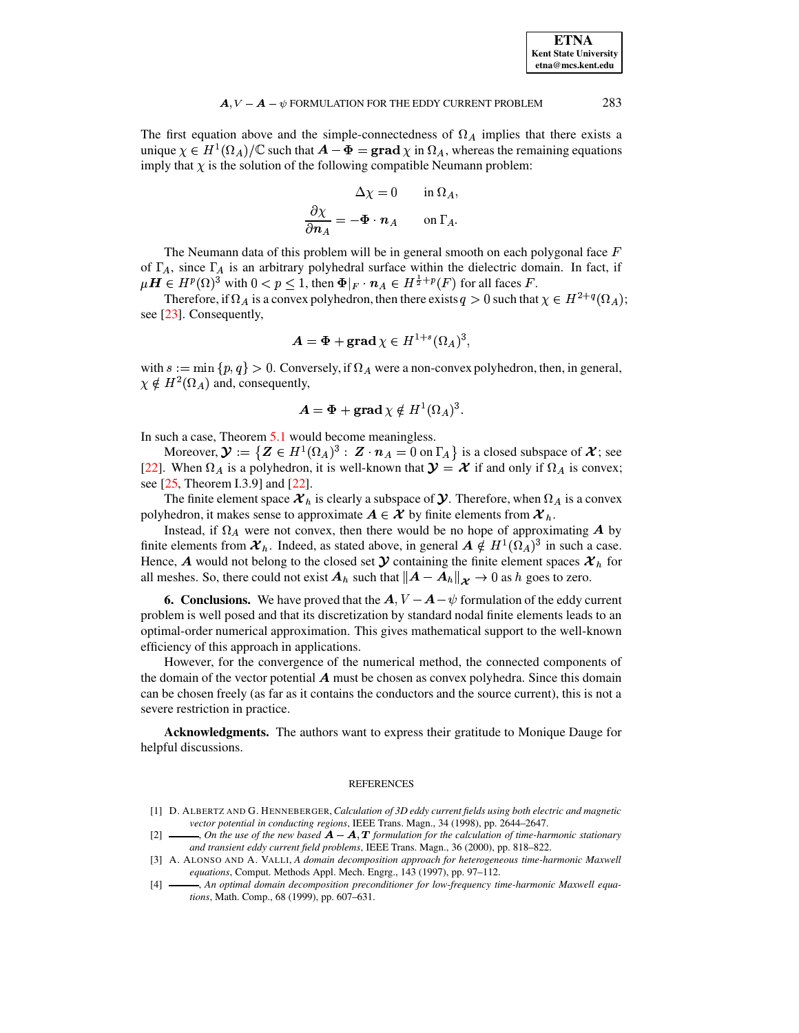| <b>ETNA</b>                  |
|------------------------------|
| <b>Kent State University</b> |
| etna@mcs.kent.edu            |

The first equation above and the simple-connectedness of  $\Omega_A$  implies that there exists a unique  $\chi \in H^1(\Omega_A)/\mathbb{C}$  such that  $A - \Phi = \text{grad }\chi$  in  $\Omega_A$ , whereas the remaining equations imply that  $\chi$  is the solution of the following compatible Neumann problem:

$$
\Delta \chi = 0 \quad \text{in } \Omega_A
$$

$$
\frac{\partial \chi}{\partial n_A} = -\Phi \cdot n_A \quad \text{on } \Gamma_A
$$

The Neumann data of this problem will be in general smooth on each polygonal face  $F$ of  $\Gamma_A$ , since  $\Gamma_A$  is an arbitrary polyhedral surface within the dielectric domain. In fact, if  $\mu H \in H^p(\Omega)^3$  with  $0 < p \leq 1$ , then  $\Phi|_F \cdot n_A \in H^{\frac{1}{2}+p}(F)$  for all faces F.

Therefore, if  $\Omega_A$  is a convex polyhedron, then there exists  $q > 0$  such that  $\chi \in H^{2+q}(\Omega_A)$ ; see [23]. Consequently,

$$
A = \Phi + \text{grad } \chi \in H^{1+s}(\Omega_A)^3
$$

with  $s := \min \{p, q\} > 0$ . Conversely, if  $\Omega_A$  were a non-convex polyhedron, then, in general,  $\chi \notin H^2(\Omega_A)$  and, consequently,

$$
A = \Phi + \mathbf{grad}\,\chi \notin H^1(\Omega_A)^3
$$

In such a case, Theorem 5.1 would become meaningless.

Moreover,  $\mathbf{\mathcal{Y}} := \{ \mathbf{Z} \in H^1(\Omega_A)^3 : \mathbf{Z} \cdot \mathbf{n}_A = 0 \text{ on } \Gamma_A \}$  is a closed subspace of  $\mathbf{\mathcal{X}}$ ; see [22]. When  $\Omega_A$  is a polyhedron, it is well-known that  $\mathcal{Y} = \mathcal{X}$  if and only if  $\Omega_A$  is convex; see  $[25,$  Theorem I.3.9] and  $[22]$ .

The finite element space  $\mathcal{X}_h$  is clearly a subspace of  $\mathcal{Y}$ . Therefore, when  $\Omega_A$  is a convex polyhedron, it makes sense to approximate  $A \in \mathcal{X}$  by finite elements from  $\mathcal{X}_h$ .

Instead, if  $\Omega_A$  were not convex, then there would be no hope of approximating A by finite elements from  $\mathcal{X}_h$ . Indeed, as stated above, in general  $A \notin H^1(\Omega_A)^3$  in such a case. Hence, A would not belong to the closed set  $\mathcal Y$  containing the finite element spaces  $\mathcal X_h$  for all meshes. So, there could not exist  $A_h$  such that  $||A - A_h||_{\mathcal{X}} \to 0$  as h goes to zero.

**6. Conclusions.** We have proved that the  $A$ ,  $V - A - \psi$  formulation of the eddy current problem is well posed and that its discretization by standard nodal finite elements leads to an optimal-order numerical approximation. This gives mathematical support to the well-known efficiency of this approach in applications.

However, for the convergence of the numerical method, the connected components of the domain of the vector potential  $\vec{A}$  must be chosen as convex polyhedra. Since this domain can be chosen freely (as far as it contains the conductors and the source current), this is not a severe restriction in practice.

**Acknowledgments.** The authors want to express their gratitude to Monique Dauge for helpful discussions.

#### **REFERENCES**

- <span id="page-13-0"></span>[1] D. ALBERTZ AND G. HENNEBERGER, Calculation of 3D eddy current fields using both electric and magnetic vector potential in conducting regions, IEEE Trans. Magn., 34 (1998), pp. 2644-2647.
- <span id="page-13-1"></span> $\lceil 2 \rceil$ -, On the use of the new based  $A - A$ , T formulation for the calculation of time-harmonic stationary and transient eddy current field problems, IEEE Trans. Magn., 36 (2000), pp. 818-822.
- <span id="page-13-3"></span>[3] A. ALONSO AND A. VALLI, A domain decomposition approach for heterogeneous time-harmonic Maxwell equations, Comput. Methods Appl. Mech. Engrg., 143 (1997), pp. 97-112.
- <span id="page-13-2"></span>-, An optimal domain decomposition preconditioner for low-frequency time-harmonic Maxwell equa- $[4]$ tions, Math. Comp., 68 (1999), pp. 607-631.

283